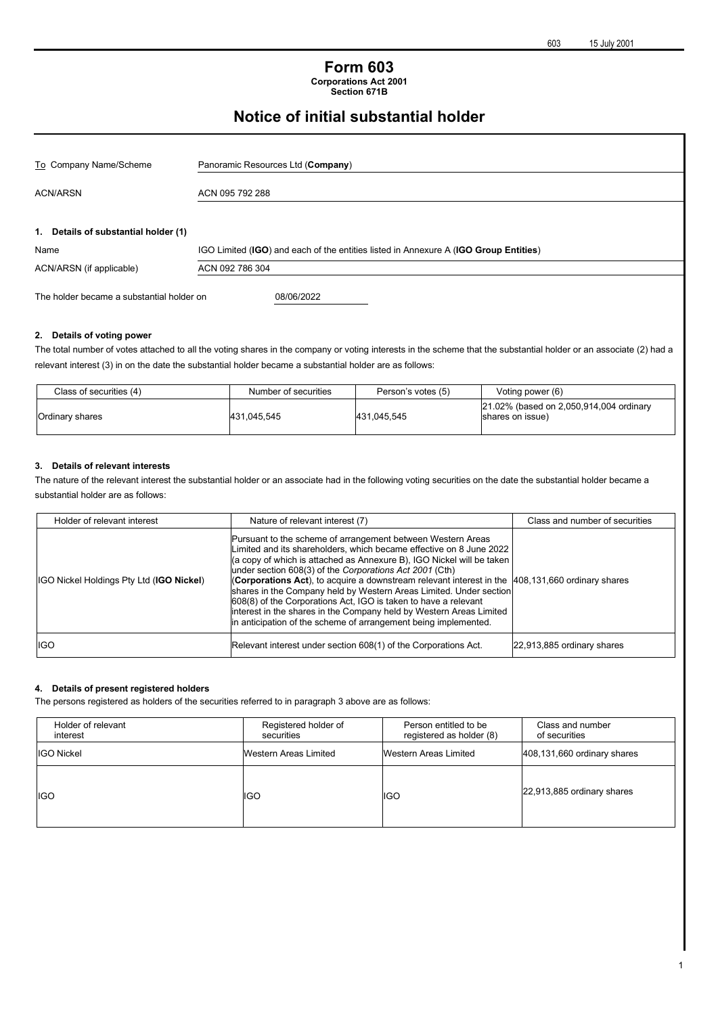#### **Form 603 Corporations Act 2001 Section 671B**

# **Notice of initial substantial holder**

| To Company Name/Scheme                    | Panoramic Resources Ltd (Company)                                                    |
|-------------------------------------------|--------------------------------------------------------------------------------------|
| <b>ACN/ARSN</b>                           | ACN 095 792 288                                                                      |
| 1. Details of substantial holder (1)      |                                                                                      |
| Name                                      | IGO Limited (IGO) and each of the entities listed in Annexure A (IGO Group Entities) |
| ACN/ARSN (if applicable)                  | ACN 092 786 304                                                                      |
| The holder became a substantial holder on | 08/06/2022                                                                           |
| 2. Details of voting power                |                                                                                      |

### The total number of votes attached to all the voting shares in the company or voting interests in the scheme that the substantial holder or an associate (2) had a

relevant interest (3) in on the date the substantial holder became a substantial holder are as follows:

| Class of securities (4) | Number of securities | Person's votes (5) | Voting power (6)                                            |
|-------------------------|----------------------|--------------------|-------------------------------------------------------------|
| Ordinary shares         | 431,045,545          | 431.045.545        | 21.02% (based on 2,050,914,004 ordinary<br>shares on issue) |

#### **3. Details of relevant interests**

The nature of the relevant interest the substantial holder or an associate had in the following voting securities on the date the substantial holder became a substantial holder are as follows:

| Holder of relevant interest              | Nature of relevant interest (7)                                                                                                                                                                                                                                                                                                                                                                                                                                                                                                                                                                                                                                          | Class and number of securities |
|------------------------------------------|--------------------------------------------------------------------------------------------------------------------------------------------------------------------------------------------------------------------------------------------------------------------------------------------------------------------------------------------------------------------------------------------------------------------------------------------------------------------------------------------------------------------------------------------------------------------------------------------------------------------------------------------------------------------------|--------------------------------|
| IGO Nickel Holdings Pty Ltd (IGO Nickel) | Pursuant to the scheme of arrangement between Western Areas<br>Limited and its shareholders, which became effective on 8 June 2022<br>(a copy of which is attached as Annexure B), IGO Nickel will be taken<br>under section 608(3) of the Corporations Act 2001 (Cth)<br><b>(Corporations Act)</b> , to acquire a downstream relevant interest in the $ 408,131,660$ ordinary shares<br>shares in the Company held by Western Areas Limited. Under section<br>608(8) of the Corporations Act, IGO is taken to have a relevant<br>interest in the shares in the Company held by Western Areas Limited<br>in anticipation of the scheme of arrangement being implemented. |                                |
| <b>IGO</b>                               | Relevant interest under section 608(1) of the Corporations Act.                                                                                                                                                                                                                                                                                                                                                                                                                                                                                                                                                                                                          | 22,913,885 ordinary shares     |

#### **4. Details of present registered holders**

The persons registered as holders of the securities referred to in paragraph 3 above are as follows:

| Holder of relevant<br>interest | Registered holder of<br>securities | Person entitled to be<br>registered as holder (8) | Class and number<br>of securities |
|--------------------------------|------------------------------------|---------------------------------------------------|-----------------------------------|
| <b>IGO Nickel</b>              | Western Areas Limited              | Western Areas Limited                             | 408,131,660 ordinary shares       |
| <b>IGO</b>                     | <b>IGO</b>                         | IGO                                               | 22,913,885 ordinary shares        |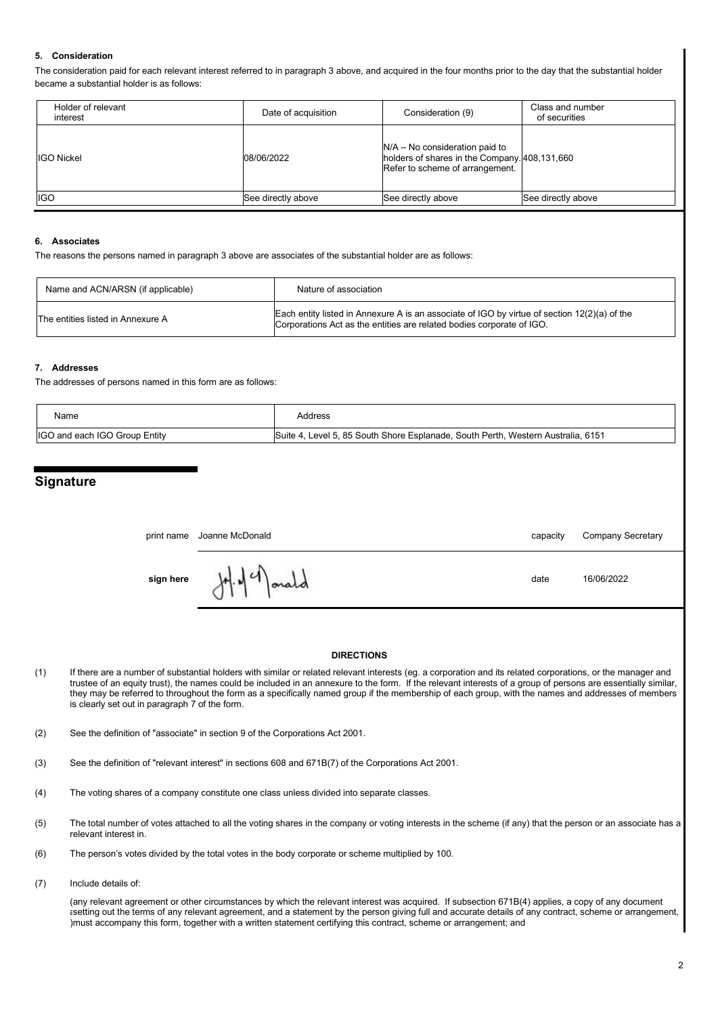#### **5. Consideration**

The consideration paid for each relevant interest referred to in paragraph 3 above, and acquired in the four months prior to the day that the substantial holder became a substantial holder is as follows:

| Holder of relevant<br>interest | Date of acquisition | Consideration (9)                                                                                                    | Class and number<br>of securities |
|--------------------------------|---------------------|----------------------------------------------------------------------------------------------------------------------|-----------------------------------|
| <b>IGO Nickel</b>              | 08/06/2022          | $N/A - No$ consideration paid to<br>holders of shares in the Company. 408,131,660<br>Refer to scheme of arrangement. |                                   |
| <b>IGO</b>                     | See directly above  | See directly above                                                                                                   | See directly above                |

#### **6. Associates**

The reasons the persons named in paragraph 3 above are associates of the substantial holder are as follows:

| Name and ACN/ARSN (if applicable) | Nature of association                                                                                                                                                   |
|-----------------------------------|-------------------------------------------------------------------------------------------------------------------------------------------------------------------------|
| The entities listed in Annexure A | Each entity listed in Annexure A is an associate of IGO by virtue of section $12(2)(a)$ of the<br>Corporations Act as the entities are related bodies corporate of IGO. |

#### **7. Addresses**

The addresses of persons named in this form are as follows:

| Name                          | Address                                                                          |
|-------------------------------|----------------------------------------------------------------------------------|
| IGO and each IGO Group Entity | Suite 4, Level 5, 85 South Shore Esplanade, South Perth, Western Australia, 6151 |

#### **Signature**

|           | print name Joanne McDonald    | capacity | Company Secretary |
|-----------|-------------------------------|----------|-------------------|
| sign here | $\sqrt{ }$<br>M.14<br>$1 - 1$ | date     | 16/06/2022        |

#### **DIRECTIONS**

- (1) If there are a number of substantial holders with similar or related relevant interests (eg. a corporation and its related corporations, or the manager and trustee of an equity trust), the names could be included in an annexure to the form. If the relevant interests of a group of persons are essentially similar, they may be referred to throughout the form as a specifically named group if the membership of each group, with the names and addresses of members is clearly set out in paragraph 7 of the form.
- (2) See the definition of "associate" in section 9 of the Corporations Act 2001.
- (3) See the definition of "relevant interest" in sections 608 and 671B(7) of the Corporations Act 2001.
- (4) The voting shares of a company constitute one class unless divided into separate classes.
- (5) The total number of votes attached to all the voting shares in the company or voting interests in the scheme (if any) that the person or an associate has a relevant interest in.
- (6) The person's votes divided by the total votes in the body corporate or scheme multiplied by 100.
- (7) Include details of:

( any relevant agreement or other circumstances by which the relevant interest was acquired. If subsection 671B(4) applies, a copy of any document a setting out the terms of any relevant agreement, and a statement by the person giving full and accurate details of any contract, scheme or arrangement, ) must accompany this form, together with a written statement certifying this contract, scheme or arrangement; and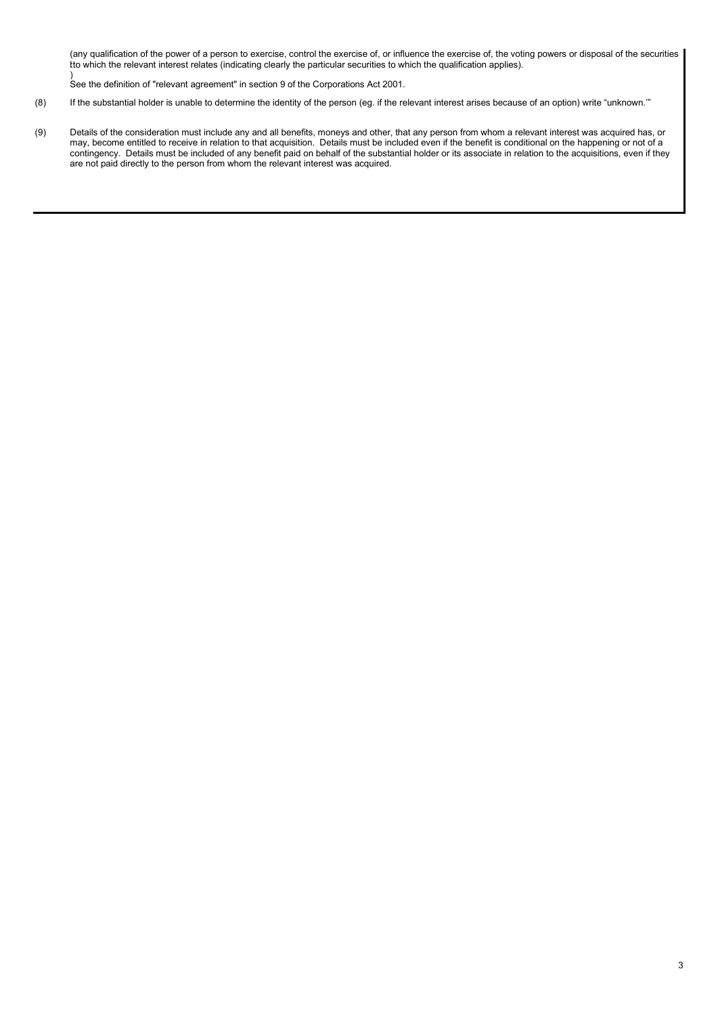( kt any qualification of the power of a person to exercise, control the exercise of, or influence the exercise of, the voting powers or disposal of the securities to which the relevant interest relates (indicating clearly the particular securities to which the qualification applies).

) See the definition of "relevant agreement" in section 9 of the Corporations Act 2001.

- (8) If the substantial holder is unable to determine the identity of the person (eg. if the relevant interest arises because of an option) write "unknown.'"
- (9) Details of the consideration must include any and all benefits, moneys and other, that any person from whom a relevant interest was acquired has, or may, become entitled to receive in relation to that acquisition. Details must be included even if the benefit is conditional on the happening or not of a contingency. Details must be included of any benefit paid on behalf of the substantial holder or its associate in relation to the acquisitions, even if they are not paid directly to the person from whom the relevant interest was acquired.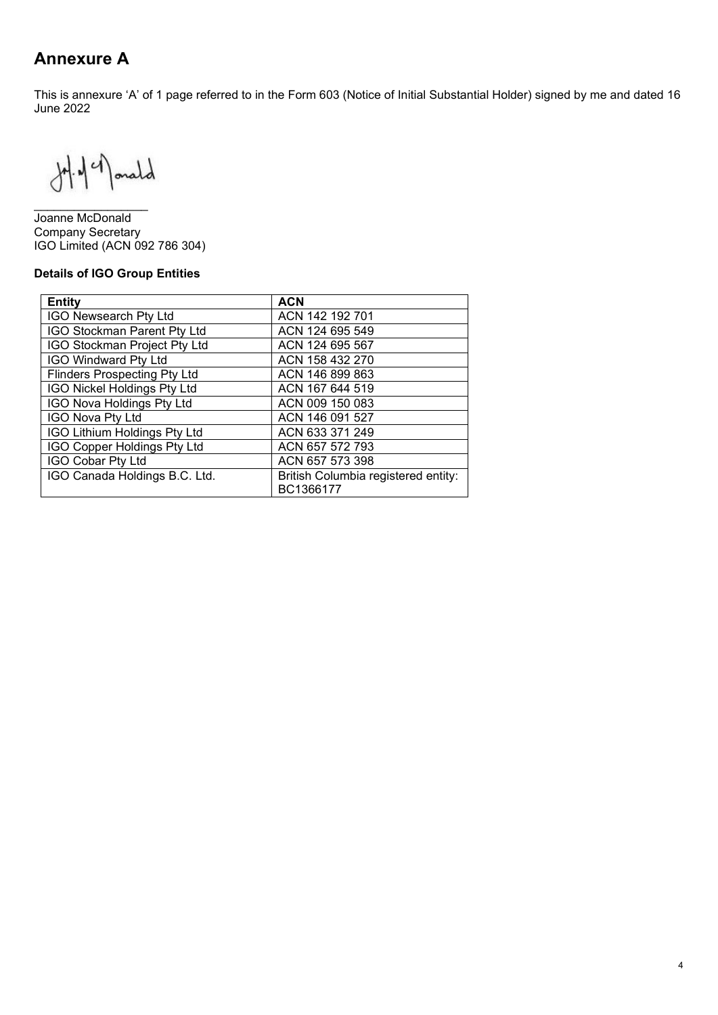# **Annexure A**

This is annexure 'A' of 1 page referred to in the Form 603 (Notice of Initial Substantial Holder) signed by me and dated 16 June 2022

 $H.49$  anald

\_\_\_\_\_\_\_\_\_\_\_\_\_\_\_\_\_ Joanne McDonald Company Secretary IGO Limited (ACN 092 786 304)

#### **Details of IGO Group Entities**

| <b>Entity</b>                       | <b>ACN</b>                                       |
|-------------------------------------|--------------------------------------------------|
| <b>IGO Newsearch Pty Ltd</b>        | ACN 142 192 701                                  |
| <b>IGO Stockman Parent Pty Ltd</b>  | ACN 124 695 549                                  |
| IGO Stockman Project Pty Ltd        | ACN 124 695 567                                  |
| <b>IGO Windward Pty Ltd</b>         | ACN 158 432 270                                  |
| <b>Flinders Prospecting Pty Ltd</b> | ACN 146 899 863                                  |
| <b>IGO Nickel Holdings Pty Ltd</b>  | ACN 167 644 519                                  |
| <b>IGO Nova Holdings Pty Ltd</b>    | ACN 009 150 083                                  |
| <b>IGO Nova Pty Ltd</b>             | ACN 146 091 527                                  |
| IGO Lithium Holdings Pty Ltd        | ACN 633 371 249                                  |
| IGO Copper Holdings Pty Ltd         | ACN 657 572 793                                  |
| <b>IGO Cobar Pty Ltd</b>            | ACN 657 573 398                                  |
| IGO Canada Holdings B.C. Ltd.       | British Columbia registered entity:<br>BC1366177 |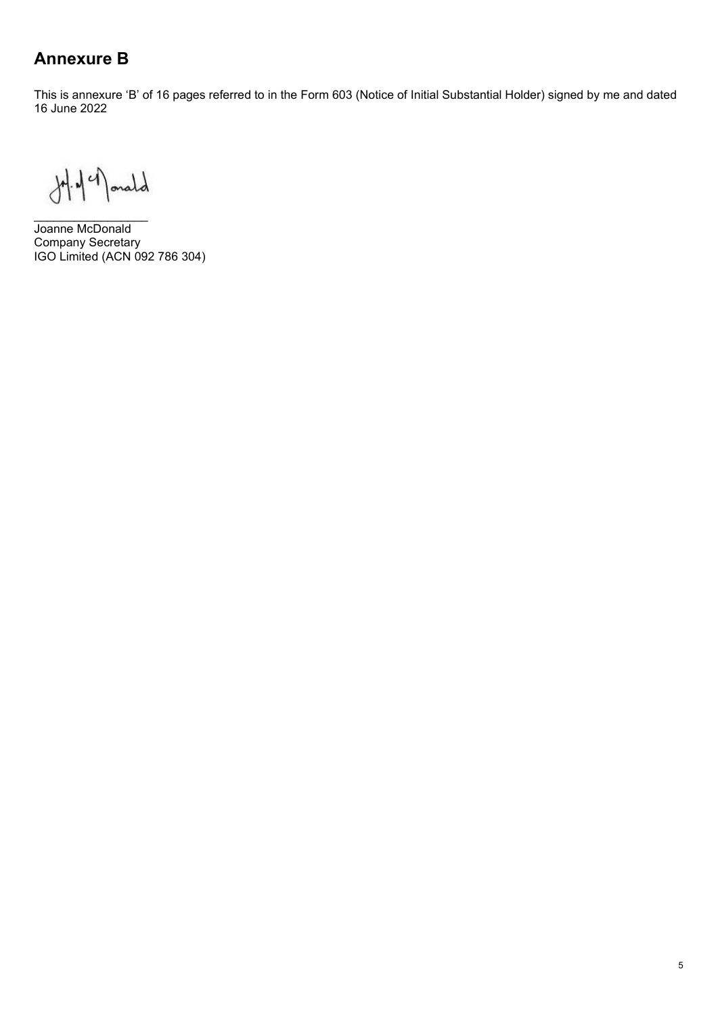# **Annexure B**

This is annexure 'B' of 16 pages referred to in the Form 603 (Notice of Initial Substantial Holder) signed by me and dated 16 June 2022

 $H.44$  and

\_\_\_\_\_\_\_\_\_\_\_\_\_\_\_\_\_ Joanne McDonald Company Secretary IGO Limited (ACN 092 786 304)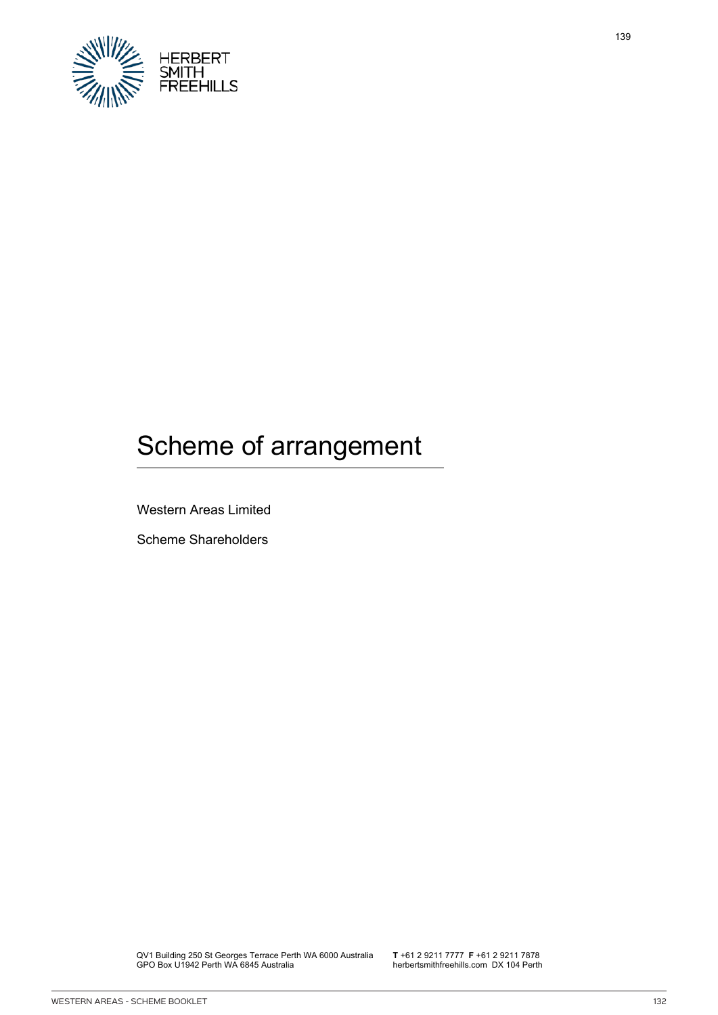

# Scheme of arrangement

Western Areas Limited

Scheme Shareholders

QV1 Building 250 St Georges Terrace Perth WA 6000 Australia GPO Box U1942 Perth WA 6845 Australia

**T** +61 2 9211 7777 **F** +61 2 9211 7878 herbertsmithfreehills.com DX 104 Perth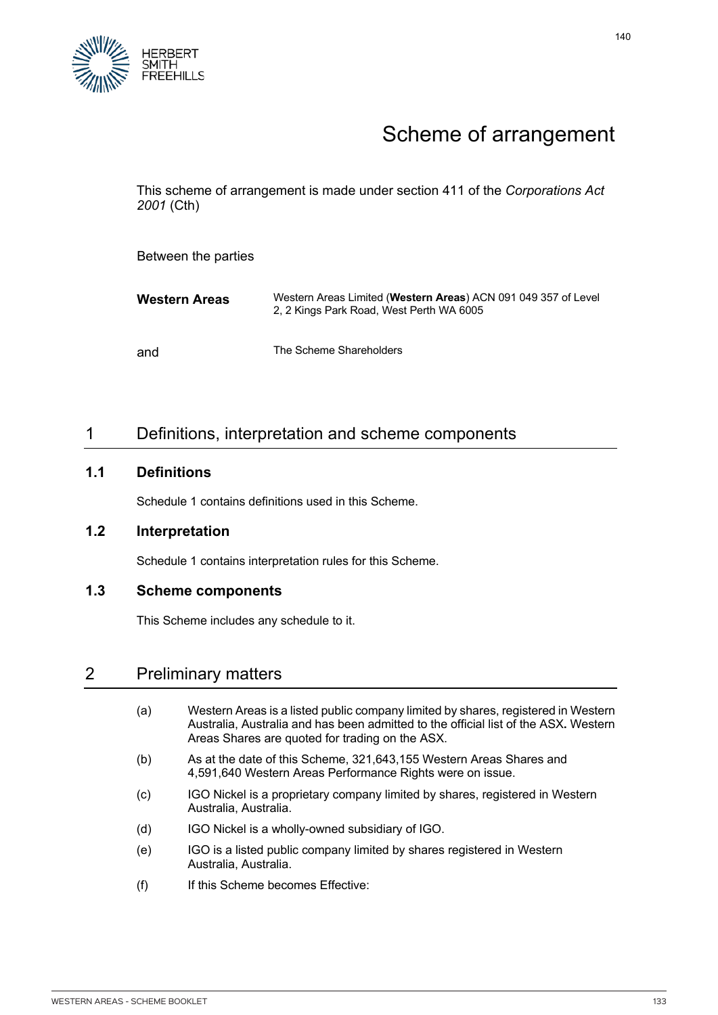

# Scheme of arrangement

This scheme of arrangement is made under section 411 of the *Corporations Act 2001* (Cth)

Between the parties

| Western Areas | Western Areas Limited (Western Areas) ACN 091 049 357 of Level<br>2, 2 Kings Park Road, West Perth WA 6005 |
|---------------|------------------------------------------------------------------------------------------------------------|
| and           | The Scheme Shareholders                                                                                    |

# 1 Definitions, interpretation and scheme components

#### **1.1 Definitions**

Schedule 1 contains definitions used in this Scheme.

#### **1.2 Interpretation**

Schedule 1 contains interpretation rules for this Scheme.

#### **1.3 Scheme components**

This Scheme includes any schedule to it.

## 2 Preliminary matters

- (a) Western Areas is a listed public company limited by shares, registered in Western Australia, Australia and has been admitted to the official list of the ASX**.** Western Areas Shares are quoted for trading on the ASX.
- (b) As at the date of this Scheme, 321,643,155 Western Areas Shares and 4,591,640 Western Areas Performance Rights were on issue.
- (c) IGO Nickel is a proprietary company limited by shares, registered in Western Australia, Australia.
- (d) IGO Nickel is a wholly-owned subsidiary of IGO.
- (e) IGO is a listed public company limited by shares registered in Western Australia, Australia.
- (f) If this Scheme becomes Effective: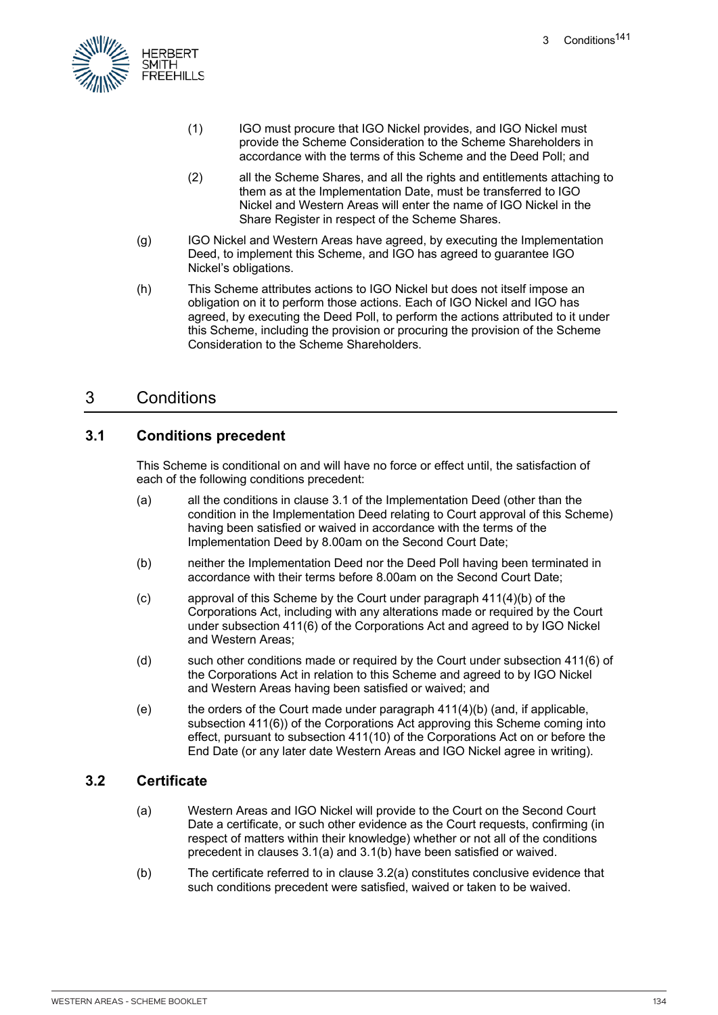

- (1) IGO must procure that IGO Nickel provides, and IGO Nickel must provide the Scheme Consideration to the Scheme Shareholders in accordance with the terms of this Scheme and the Deed Poll; and
- (2) all the Scheme Shares, and all the rights and entitlements attaching to them as at the Implementation Date, must be transferred to IGO Nickel and Western Areas will enter the name of IGO Nickel in the Share Register in respect of the Scheme Shares.
- (g) IGO Nickel and Western Areas have agreed, by executing the Implementation Deed, to implement this Scheme, and IGO has agreed to guarantee IGO Nickel's obligations.
- (h) This Scheme attributes actions to IGO Nickel but does not itself impose an obligation on it to perform those actions. Each of IGO Nickel and IGO has agreed, by executing the Deed Poll, to perform the actions attributed to it under this Scheme, including the provision or procuring the provision of the Scheme Consideration to the Scheme Shareholders.

# 3 Conditions

### **3.1 Conditions precedent**

This Scheme is conditional on and will have no force or effect until, the satisfaction of each of the following conditions precedent:

- (a) all the conditions in clause 3.1 of the Implementation Deed (other than the condition in the Implementation Deed relating to Court approval of this Scheme) having been satisfied or waived in accordance with the terms of the Implementation Deed by 8.00am on the Second Court Date;
- (b) neither the Implementation Deed nor the Deed Poll having been terminated in accordance with their terms before 8.00am on the Second Court Date;
- (c) approval of this Scheme by the Court under paragraph 411(4)(b) of the Corporations Act, including with any alterations made or required by the Court under subsection 411(6) of the Corporations Act and agreed to by IGO Nickel and Western Areas;
- (d) such other conditions made or required by the Court under subsection 411(6) of the Corporations Act in relation to this Scheme and agreed to by IGO Nickel and Western Areas having been satisfied or waived; and
- (e) the orders of the Court made under paragraph  $411(4)(b)$  (and, if applicable, subsection 411(6)) of the Corporations Act approving this Scheme coming into effect, pursuant to subsection 411(10) of the Corporations Act on or before the End Date (or any later date Western Areas and IGO Nickel agree in writing).

### **3.2 Certificate**

- (a) Western Areas and IGO Nickel will provide to the Court on the Second Court Date a certificate, or such other evidence as the Court requests, confirming (in respect of matters within their knowledge) whether or not all of the conditions precedent in clauses 3.1(a) and 3.1(b) have been satisfied or waived.
- (b) The certificate referred to in clause 3.2(a) constitutes conclusive evidence that such conditions precedent were satisfied, waived or taken to be waived.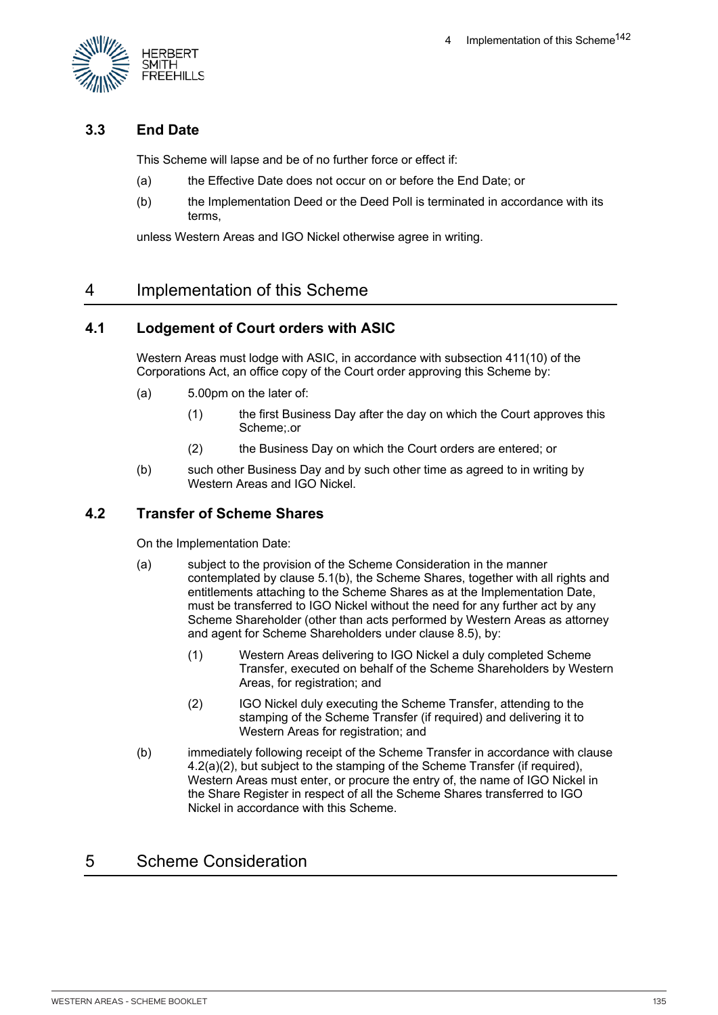

## **3.3 End Date**

This Scheme will lapse and be of no further force or effect if:

- (a) the Effective Date does not occur on or before the End Date; or
- (b) the Implementation Deed or the Deed Poll is terminated in accordance with its terms,

unless Western Areas and IGO Nickel otherwise agree in writing.

# 4 Implementation of this Scheme

### **4.1 Lodgement of Court orders with ASIC**

Western Areas must lodge with ASIC, in accordance with subsection 411(10) of the Corporations Act, an office copy of the Court order approving this Scheme by:

- (a) 5.00pm on the later of:
	- (1) the first Business Day after the day on which the Court approves this Scheme;.or
	- (2) the Business Day on which the Court orders are entered; or
- (b) such other Business Day and by such other time as agreed to in writing by Western Areas and IGO Nickel.

### **4.2 Transfer of Scheme Shares**

On the Implementation Date:

- (a) subject to the provision of the Scheme Consideration in the manner contemplated by clause 5.1(b), the Scheme Shares, together with all rights and entitlements attaching to the Scheme Shares as at the Implementation Date, must be transferred to IGO Nickel without the need for any further act by any Scheme Shareholder (other than acts performed by Western Areas as attorney and agent for Scheme Shareholders under clause 8.5), by:
	- (1) Western Areas delivering to IGO Nickel a duly completed Scheme Transfer, executed on behalf of the Scheme Shareholders by Western Areas, for registration; and
	- (2) IGO Nickel duly executing the Scheme Transfer, attending to the stamping of the Scheme Transfer (if required) and delivering it to Western Areas for registration; and
- (b) immediately following receipt of the Scheme Transfer in accordance with clause 4.2(a)(2), but subject to the stamping of the Scheme Transfer (if required), Western Areas must enter, or procure the entry of, the name of IGO Nickel in the Share Register in respect of all the Scheme Shares transferred to IGO Nickel in accordance with this Scheme.

# 5 Scheme Consideration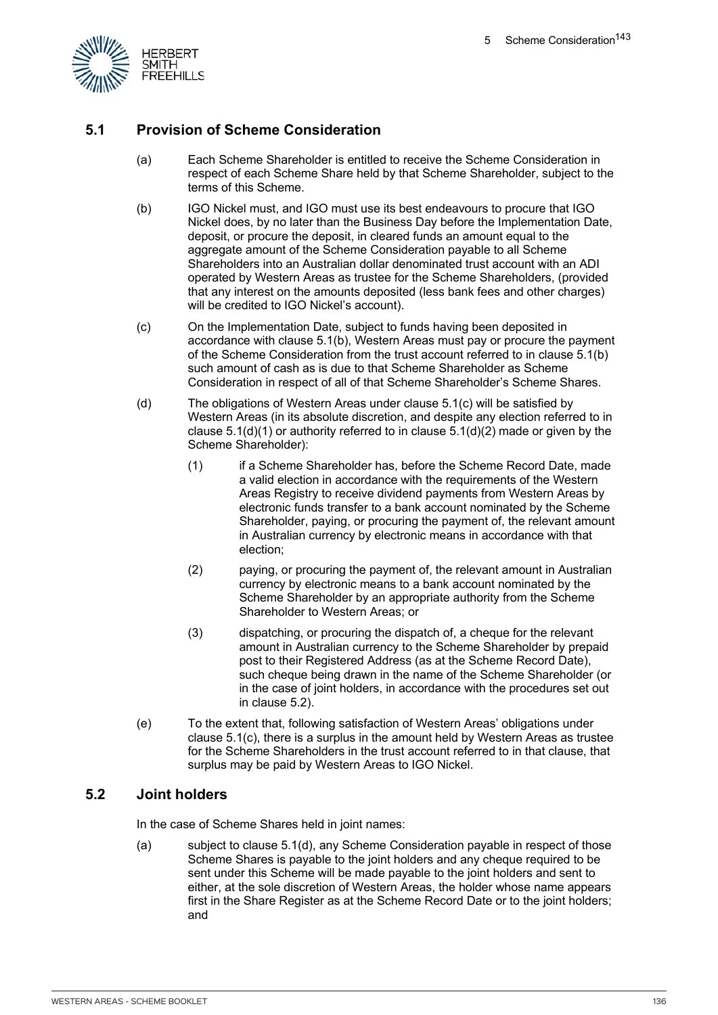

## **5.1 Provision of Scheme Consideration**

- (a) Each Scheme Shareholder is entitled to receive the Scheme Consideration in respect of each Scheme Share held by that Scheme Shareholder, subject to the terms of this Scheme.
- (b) IGO Nickel must, and IGO must use its best endeavours to procure that IGO Nickel does, by no later than the Business Day before the Implementation Date, deposit, or procure the deposit, in cleared funds an amount equal to the aggregate amount of the Scheme Consideration payable to all Scheme Shareholders into an Australian dollar denominated trust account with an ADI operated by Western Areas as trustee for the Scheme Shareholders, (provided that any interest on the amounts deposited (less bank fees and other charges) will be credited to IGO Nickel's account).
- (c) On the Implementation Date, subject to funds having been deposited in accordance with clause 5.1(b), Western Areas must pay or procure the payment of the Scheme Consideration from the trust account referred to in clause 5.1(b) such amount of cash as is due to that Scheme Shareholder as Scheme Consideration in respect of all of that Scheme Shareholder's Scheme Shares.
- (d) The obligations of Western Areas under clause 5.1(c) will be satisfied by Western Areas (in its absolute discretion, and despite any election referred to in clause  $5.1(d)(1)$  or authority referred to in clause  $5.1(d)(2)$  made or given by the Scheme Shareholder):
	- (1) if a Scheme Shareholder has, before the Scheme Record Date, made a valid election in accordance with the requirements of the Western Areas Registry to receive dividend payments from Western Areas by electronic funds transfer to a bank account nominated by the Scheme Shareholder, paying, or procuring the payment of, the relevant amount in Australian currency by electronic means in accordance with that election;
	- (2) paying, or procuring the payment of, the relevant amount in Australian currency by electronic means to a bank account nominated by the Scheme Shareholder by an appropriate authority from the Scheme Shareholder to Western Areas; or
	- (3) dispatching, or procuring the dispatch of, a cheque for the relevant amount in Australian currency to the Scheme Shareholder by prepaid post to their Registered Address (as at the Scheme Record Date), such cheque being drawn in the name of the Scheme Shareholder (or in the case of joint holders, in accordance with the procedures set out in clause 5.2).
- (e) To the extent that, following satisfaction of Western Areas' obligations under clause 5.1(c), there is a surplus in the amount held by Western Areas as trustee for the Scheme Shareholders in the trust account referred to in that clause, that surplus may be paid by Western Areas to IGO Nickel.

### **5.2 Joint holders**

In the case of Scheme Shares held in joint names:

(a) subject to clause 5.1(d), any Scheme Consideration payable in respect of those Scheme Shares is payable to the joint holders and any cheque required to be sent under this Scheme will be made payable to the joint holders and sent to either, at the sole discretion of Western Areas, the holder whose name appears first in the Share Register as at the Scheme Record Date or to the joint holders; and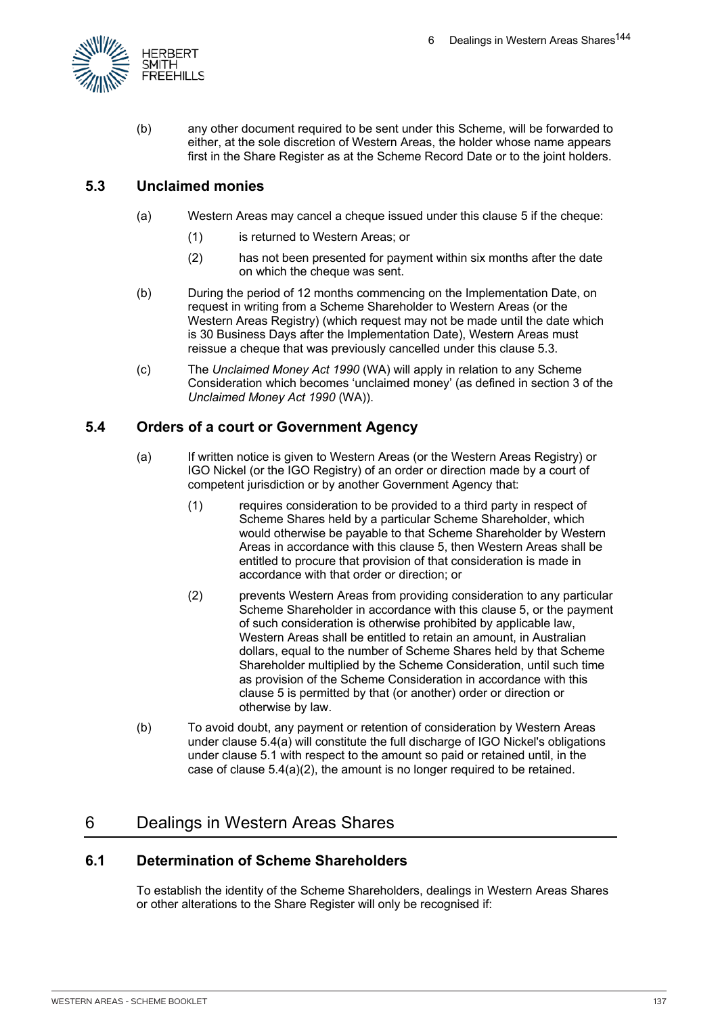

(b) any other document required to be sent under this Scheme, will be forwarded to either, at the sole discretion of Western Areas, the holder whose name appears first in the Share Register as at the Scheme Record Date or to the joint holders.

## **5.3 Unclaimed monies**

- (a) Western Areas may cancel a cheque issued under this clause 5 if the cheque:
	- (1) is returned to Western Areas; or
	- (2) has not been presented for payment within six months after the date on which the cheque was sent.
- (b) During the period of 12 months commencing on the Implementation Date, on request in writing from a Scheme Shareholder to Western Areas (or the Western Areas Registry) (which request may not be made until the date which is 30 Business Days after the Implementation Date), Western Areas must reissue a cheque that was previously cancelled under this clause 5.3.
- (c) The *Unclaimed Money Act 1990* (WA) will apply in relation to any Scheme Consideration which becomes 'unclaimed money' (as defined in section 3 of the *Unclaimed Money Act 1990* (WA)).

## **5.4 Orders of a court or Government Agency**

- (a) If written notice is given to Western Areas (or the Western Areas Registry) or IGO Nickel (or the IGO Registry) of an order or direction made by a court of competent jurisdiction or by another Government Agency that:
	- (1) requires consideration to be provided to a third party in respect of Scheme Shares held by a particular Scheme Shareholder, which would otherwise be payable to that Scheme Shareholder by Western Areas in accordance with this clause 5, then Western Areas shall be entitled to procure that provision of that consideration is made in accordance with that order or direction; or
	- (2) prevents Western Areas from providing consideration to any particular Scheme Shareholder in accordance with this clause 5, or the payment of such consideration is otherwise prohibited by applicable law, Western Areas shall be entitled to retain an amount, in Australian dollars, equal to the number of Scheme Shares held by that Scheme Shareholder multiplied by the Scheme Consideration, until such time as provision of the Scheme Consideration in accordance with this clause 5 is permitted by that (or another) order or direction or otherwise by law.
- (b) To avoid doubt, any payment or retention of consideration by Western Areas under clause 5.4(a) will constitute the full discharge of IGO Nickel's obligations under clause 5.1 with respect to the amount so paid or retained until, in the case of clause 5.4(a)(2), the amount is no longer required to be retained.

# 6 Dealings in Western Areas Shares

## **6.1 Determination of Scheme Shareholders**

To establish the identity of the Scheme Shareholders, dealings in Western Areas Shares or other alterations to the Share Register will only be recognised if: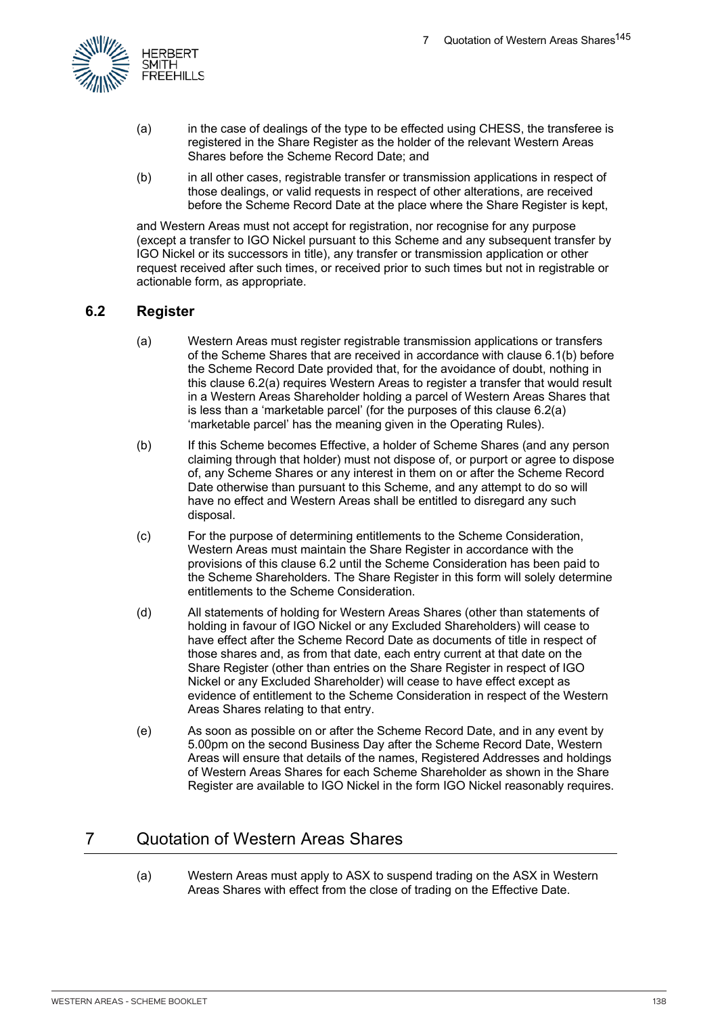

- (a) in the case of dealings of the type to be effected using CHESS, the transferee is registered in the Share Register as the holder of the relevant Western Areas Shares before the Scheme Record Date; and
- (b) in all other cases, registrable transfer or transmission applications in respect of those dealings, or valid requests in respect of other alterations, are received before the Scheme Record Date at the place where the Share Register is kept,

and Western Areas must not accept for registration, nor recognise for any purpose (except a transfer to IGO Nickel pursuant to this Scheme and any subsequent transfer by IGO Nickel or its successors in title), any transfer or transmission application or other request received after such times, or received prior to such times but not in registrable or actionable form, as appropriate.

### **6.2 Register**

- (a) Western Areas must register registrable transmission applications or transfers of the Scheme Shares that are received in accordance with clause 6.1(b) before the Scheme Record Date provided that, for the avoidance of doubt, nothing in this clause 6.2(a) requires Western Areas to register a transfer that would result in a Western Areas Shareholder holding a parcel of Western Areas Shares that is less than a 'marketable parcel' (for the purposes of this clause 6.2(a) 'marketable parcel' has the meaning given in the Operating Rules).
- (b) If this Scheme becomes Effective, a holder of Scheme Shares (and any person claiming through that holder) must not dispose of, or purport or agree to dispose of, any Scheme Shares or any interest in them on or after the Scheme Record Date otherwise than pursuant to this Scheme, and any attempt to do so will have no effect and Western Areas shall be entitled to disregard any such disposal.
- (c) For the purpose of determining entitlements to the Scheme Consideration, Western Areas must maintain the Share Register in accordance with the provisions of this clause 6.2 until the Scheme Consideration has been paid to the Scheme Shareholders. The Share Register in this form will solely determine entitlements to the Scheme Consideration.
- (d) All statements of holding for Western Areas Shares (other than statements of holding in favour of IGO Nickel or any Excluded Shareholders) will cease to have effect after the Scheme Record Date as documents of title in respect of those shares and, as from that date, each entry current at that date on the Share Register (other than entries on the Share Register in respect of IGO Nickel or any Excluded Shareholder) will cease to have effect except as evidence of entitlement to the Scheme Consideration in respect of the Western Areas Shares relating to that entry.
- (e) As soon as possible on or after the Scheme Record Date, and in any event by 5.00pm on the second Business Day after the Scheme Record Date, Western Areas will ensure that details of the names, Registered Addresses and holdings of Western Areas Shares for each Scheme Shareholder as shown in the Share Register are available to IGO Nickel in the form IGO Nickel reasonably requires.

# 7 Quotation of Western Areas Shares

(a) Western Areas must apply to ASX to suspend trading on the ASX in Western Areas Shares with effect from the close of trading on the Effective Date.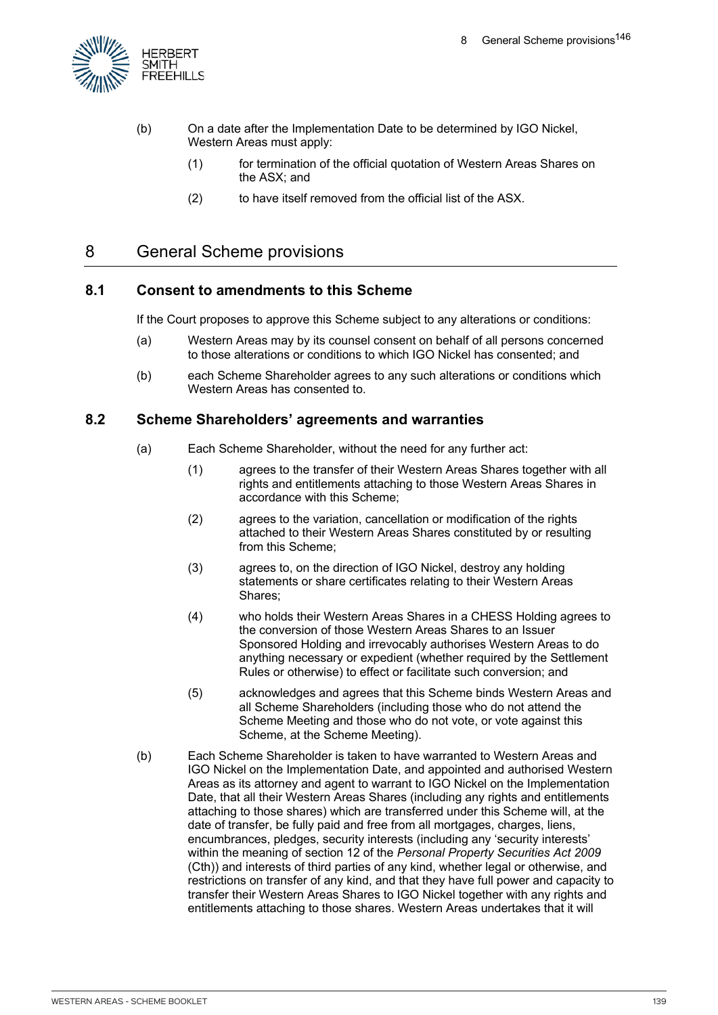

- (b) On a date after the Implementation Date to be determined by IGO Nickel, Western Areas must apply:
	- (1) for termination of the official quotation of Western Areas Shares on the ASX; and
	- (2) to have itself removed from the official list of the ASX.

# 8 General Scheme provisions

#### **8.1 Consent to amendments to this Scheme**

If the Court proposes to approve this Scheme subject to any alterations or conditions:

- (a) Western Areas may by its counsel consent on behalf of all persons concerned to those alterations or conditions to which IGO Nickel has consented; and
- (b) each Scheme Shareholder agrees to any such alterations or conditions which Western Areas has consented to.

#### **8.2 Scheme Shareholders' agreements and warranties**

- (a) Each Scheme Shareholder, without the need for any further act:
	- (1) agrees to the transfer of their Western Areas Shares together with all rights and entitlements attaching to those Western Areas Shares in accordance with this Scheme;
	- (2) agrees to the variation, cancellation or modification of the rights attached to their Western Areas Shares constituted by or resulting from this Scheme;
	- (3) agrees to, on the direction of IGO Nickel, destroy any holding statements or share certificates relating to their Western Areas Shares;
	- (4) who holds their Western Areas Shares in a CHESS Holding agrees to the conversion of those Western Areas Shares to an Issuer Sponsored Holding and irrevocably authorises Western Areas to do anything necessary or expedient (whether required by the Settlement Rules or otherwise) to effect or facilitate such conversion; and
	- (5) acknowledges and agrees that this Scheme binds Western Areas and all Scheme Shareholders (including those who do not attend the Scheme Meeting and those who do not vote, or vote against this Scheme, at the Scheme Meeting).
- (b) Each Scheme Shareholder is taken to have warranted to Western Areas and IGO Nickel on the Implementation Date, and appointed and authorised Western Areas as its attorney and agent to warrant to IGO Nickel on the Implementation Date, that all their Western Areas Shares (including any rights and entitlements attaching to those shares) which are transferred under this Scheme will, at the date of transfer, be fully paid and free from all mortgages, charges, liens, encumbrances, pledges, security interests (including any 'security interests' within the meaning of section 12 of the *Personal Property Securities Act 2009* (Cth)) and interests of third parties of any kind, whether legal or otherwise, and restrictions on transfer of any kind, and that they have full power and capacity to transfer their Western Areas Shares to IGO Nickel together with any rights and entitlements attaching to those shares. Western Areas undertakes that it will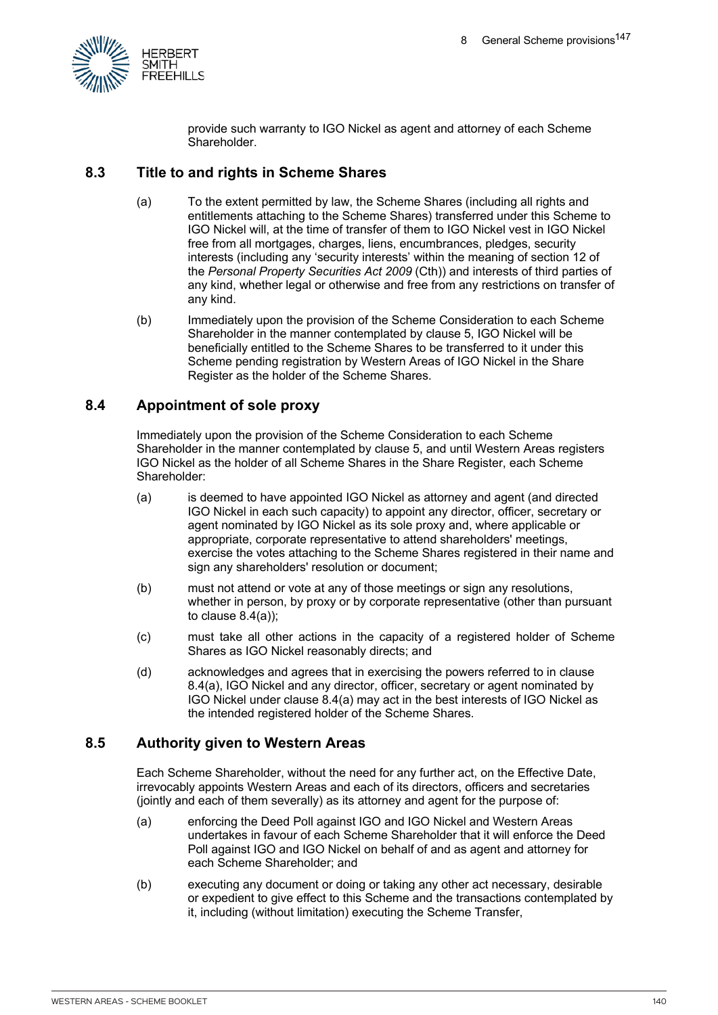

provide such warranty to IGO Nickel as agent and attorney of each Scheme Shareholder.

#### **8.3 Title to and rights in Scheme Shares**

- (a) To the extent permitted by law, the Scheme Shares (including all rights and entitlements attaching to the Scheme Shares) transferred under this Scheme to IGO Nickel will, at the time of transfer of them to IGO Nickel vest in IGO Nickel free from all mortgages, charges, liens, encumbrances, pledges, security interests (including any 'security interests' within the meaning of section 12 of the *Personal Property Securities Act 2009* (Cth)) and interests of third parties of any kind, whether legal or otherwise and free from any restrictions on transfer of any kind.
- (b) Immediately upon the provision of the Scheme Consideration to each Scheme Shareholder in the manner contemplated by clause 5, IGO Nickel will be beneficially entitled to the Scheme Shares to be transferred to it under this Scheme pending registration by Western Areas of IGO Nickel in the Share Register as the holder of the Scheme Shares.

#### **8.4 Appointment of sole proxy**

Immediately upon the provision of the Scheme Consideration to each Scheme Shareholder in the manner contemplated by clause 5, and until Western Areas registers IGO Nickel as the holder of all Scheme Shares in the Share Register, each Scheme Shareholder:

- (a) is deemed to have appointed IGO Nickel as attorney and agent (and directed IGO Nickel in each such capacity) to appoint any director, officer, secretary or agent nominated by IGO Nickel as its sole proxy and, where applicable or appropriate, corporate representative to attend shareholders' meetings, exercise the votes attaching to the Scheme Shares registered in their name and sign any shareholders' resolution or document;
- (b) must not attend or vote at any of those meetings or sign any resolutions, whether in person, by proxy or by corporate representative (other than pursuant to clause 8.4(a));
- (c) must take all other actions in the capacity of a registered holder of Scheme Shares as IGO Nickel reasonably directs; and
- (d) acknowledges and agrees that in exercising the powers referred to in clause 8.4(a), IGO Nickel and any director, officer, secretary or agent nominated by IGO Nickel under clause 8.4(a) may act in the best interests of IGO Nickel as the intended registered holder of the Scheme Shares.

#### **8.5 Authority given to Western Areas**

Each Scheme Shareholder, without the need for any further act, on the Effective Date, irrevocably appoints Western Areas and each of its directors, officers and secretaries (jointly and each of them severally) as its attorney and agent for the purpose of:

- (a) enforcing the Deed Poll against IGO and IGO Nickel and Western Areas undertakes in favour of each Scheme Shareholder that it will enforce the Deed Poll against IGO and IGO Nickel on behalf of and as agent and attorney for each Scheme Shareholder; and
- (b) executing any document or doing or taking any other act necessary, desirable or expedient to give effect to this Scheme and the transactions contemplated by it, including (without limitation) executing the Scheme Transfer,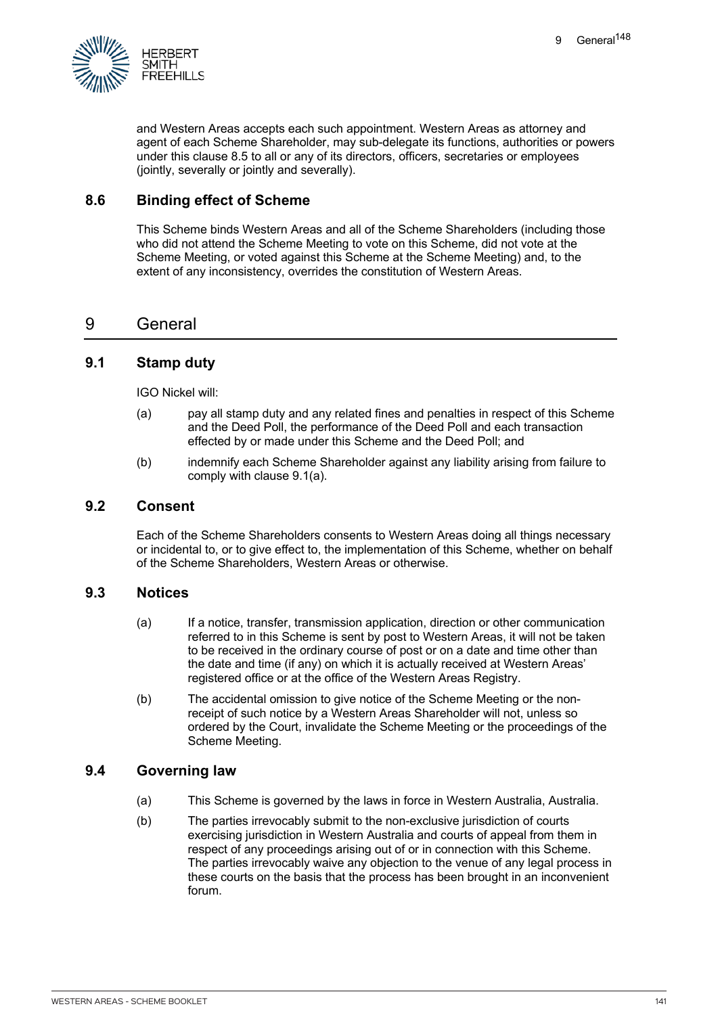

and Western Areas accepts each such appointment. Western Areas as attorney and agent of each Scheme Shareholder, may sub-delegate its functions, authorities or powers under this clause 8.5 to all or any of its directors, officers, secretaries or employees (jointly, severally or jointly and severally).

#### **8.6 Binding effect of Scheme**

This Scheme binds Western Areas and all of the Scheme Shareholders (including those who did not attend the Scheme Meeting to vote on this Scheme, did not vote at the Scheme Meeting, or voted against this Scheme at the Scheme Meeting) and, to the extent of any inconsistency, overrides the constitution of Western Areas.

## 9 General

#### **9.1 Stamp duty**

IGO Nickel will:

- (a) pay all stamp duty and any related fines and penalties in respect of this Scheme and the Deed Poll, the performance of the Deed Poll and each transaction effected by or made under this Scheme and the Deed Poll; and
- (b) indemnify each Scheme Shareholder against any liability arising from failure to comply with clause 9.1(a).

#### **9.2 Consent**

Each of the Scheme Shareholders consents to Western Areas doing all things necessary or incidental to, or to give effect to, the implementation of this Scheme, whether on behalf of the Scheme Shareholders, Western Areas or otherwise.

#### **9.3 Notices**

- (a) If a notice, transfer, transmission application, direction or other communication referred to in this Scheme is sent by post to Western Areas, it will not be taken to be received in the ordinary course of post or on a date and time other than the date and time (if any) on which it is actually received at Western Areas' registered office or at the office of the Western Areas Registry.
- (b) The accidental omission to give notice of the Scheme Meeting or the nonreceipt of such notice by a Western Areas Shareholder will not, unless so ordered by the Court, invalidate the Scheme Meeting or the proceedings of the Scheme Meeting.

#### **9.4 Governing law**

- (a) This Scheme is governed by the laws in force in Western Australia, Australia.
- (b) The parties irrevocably submit to the non-exclusive jurisdiction of courts exercising jurisdiction in Western Australia and courts of appeal from them in respect of any proceedings arising out of or in connection with this Scheme. The parties irrevocably waive any objection to the venue of any legal process in these courts on the basis that the process has been brought in an inconvenient forum.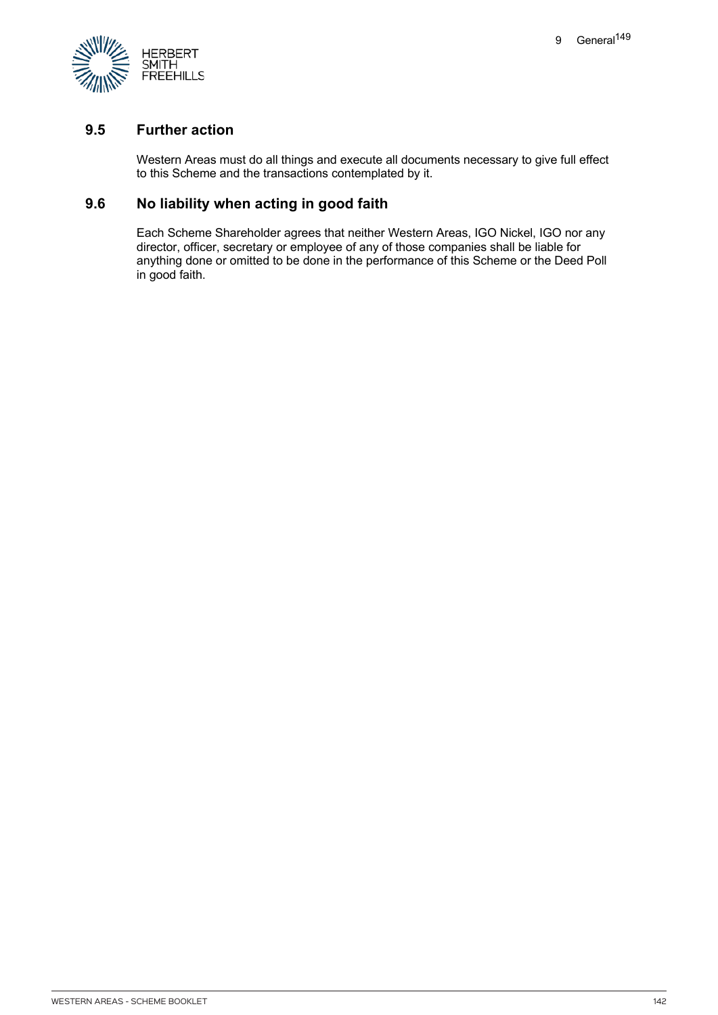

### **9.5 Further action**

Western Areas must do all things and execute all documents necessary to give full effect to this Scheme and the transactions contemplated by it.

#### **9.6 No liability when acting in good faith**

Each Scheme Shareholder agrees that neither Western Areas, IGO Nickel, IGO nor any director, officer, secretary or employee of any of those companies shall be liable for anything done or omitted to be done in the performance of this Scheme or the Deed Poll in good faith.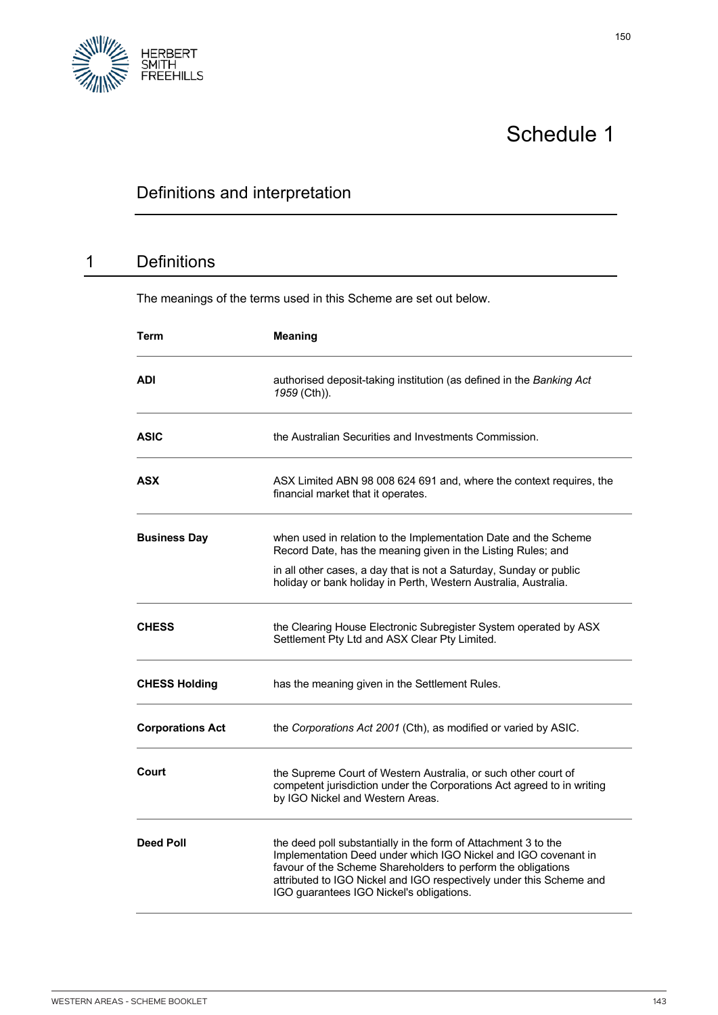

# Schedule 1

# Definitions and interpretation

# 1 Definitions

The meanings of the terms used in this Scheme are set out below.

| Term                    | <b>Meaning</b>                                                                                                                                                                                                                                                                                                      |
|-------------------------|---------------------------------------------------------------------------------------------------------------------------------------------------------------------------------------------------------------------------------------------------------------------------------------------------------------------|
| ADI                     | authorised deposit-taking institution (as defined in the Banking Act<br>1959 (Cth)).                                                                                                                                                                                                                                |
| <b>ASIC</b>             | the Australian Securities and Investments Commission.                                                                                                                                                                                                                                                               |
| ASX                     | ASX Limited ABN 98 008 624 691 and, where the context requires, the<br>financial market that it operates.                                                                                                                                                                                                           |
| <b>Business Day</b>     | when used in relation to the Implementation Date and the Scheme<br>Record Date, has the meaning given in the Listing Rules; and                                                                                                                                                                                     |
|                         | in all other cases, a day that is not a Saturday, Sunday or public<br>holiday or bank holiday in Perth, Western Australia, Australia.                                                                                                                                                                               |
| <b>CHESS</b>            | the Clearing House Electronic Subregister System operated by ASX<br>Settlement Pty Ltd and ASX Clear Pty Limited.                                                                                                                                                                                                   |
| <b>CHESS Holding</b>    | has the meaning given in the Settlement Rules.                                                                                                                                                                                                                                                                      |
| <b>Corporations Act</b> | the Corporations Act 2001 (Cth), as modified or varied by ASIC.                                                                                                                                                                                                                                                     |
| Court                   | the Supreme Court of Western Australia, or such other court of<br>competent jurisdiction under the Corporations Act agreed to in writing<br>by IGO Nickel and Western Areas.                                                                                                                                        |
| <b>Deed Poll</b>        | the deed poll substantially in the form of Attachment 3 to the<br>Implementation Deed under which IGO Nickel and IGO covenant in<br>favour of the Scheme Shareholders to perform the obligations<br>attributed to IGO Nickel and IGO respectively under this Scheme and<br>IGO guarantees IGO Nickel's obligations. |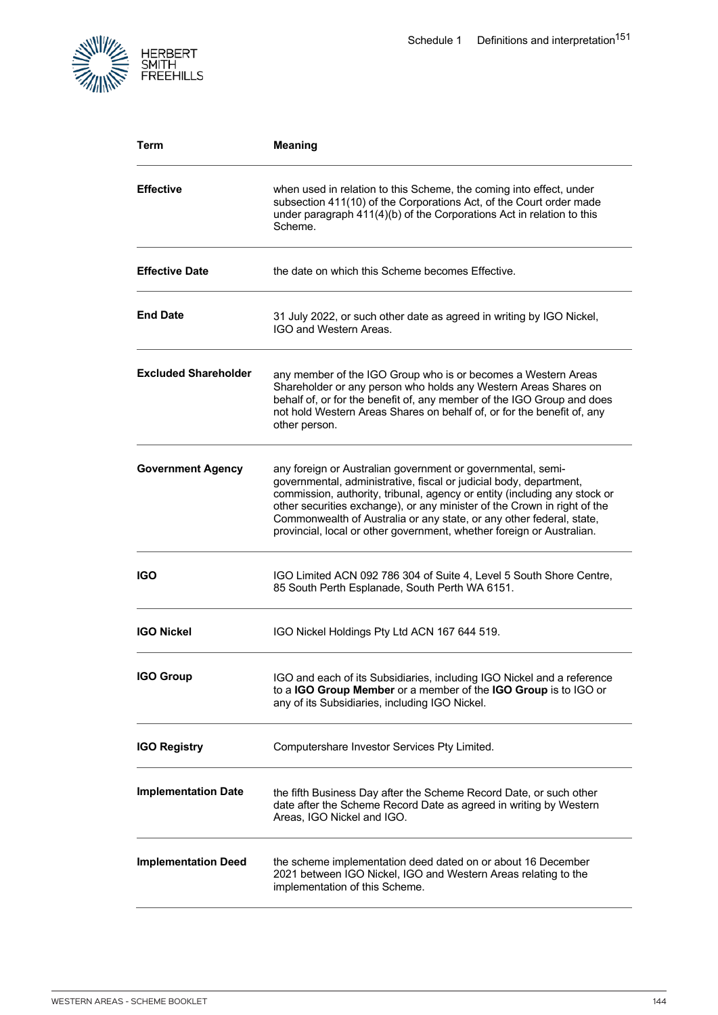

| Term                        | <b>Meaning</b>                                                                                                                                                                                                                                                                                                                                                                                                                              |
|-----------------------------|---------------------------------------------------------------------------------------------------------------------------------------------------------------------------------------------------------------------------------------------------------------------------------------------------------------------------------------------------------------------------------------------------------------------------------------------|
| <b>Effective</b>            | when used in relation to this Scheme, the coming into effect, under<br>subsection 411(10) of the Corporations Act, of the Court order made<br>under paragraph 411(4)(b) of the Corporations Act in relation to this<br>Scheme.                                                                                                                                                                                                              |
| <b>Effective Date</b>       | the date on which this Scheme becomes Effective.                                                                                                                                                                                                                                                                                                                                                                                            |
| <b>End Date</b>             | 31 July 2022, or such other date as agreed in writing by IGO Nickel,<br>IGO and Western Areas.                                                                                                                                                                                                                                                                                                                                              |
| <b>Excluded Shareholder</b> | any member of the IGO Group who is or becomes a Western Areas<br>Shareholder or any person who holds any Western Areas Shares on<br>behalf of, or for the benefit of, any member of the IGO Group and does<br>not hold Western Areas Shares on behalf of, or for the benefit of, any<br>other person.                                                                                                                                       |
| <b>Government Agency</b>    | any foreign or Australian government or governmental, semi-<br>governmental, administrative, fiscal or judicial body, department,<br>commission, authority, tribunal, agency or entity (including any stock or<br>other securities exchange), or any minister of the Crown in right of the<br>Commonwealth of Australia or any state, or any other federal, state,<br>provincial, local or other government, whether foreign or Australian. |
| IGO                         | IGO Limited ACN 092 786 304 of Suite 4, Level 5 South Shore Centre,<br>85 South Perth Esplanade, South Perth WA 6151.                                                                                                                                                                                                                                                                                                                       |
| <b>IGO Nickel</b>           | IGO Nickel Holdings Pty Ltd ACN 167 644 519.                                                                                                                                                                                                                                                                                                                                                                                                |
| <b>IGO Group</b>            | IGO and each of its Subsidiaries, including IGO Nickel and a reference<br>to a IGO Group Member or a member of the IGO Group is to IGO or<br>any of its Subsidiaries, including IGO Nickel.                                                                                                                                                                                                                                                 |
| <b>IGO Registry</b>         | Computershare Investor Services Pty Limited.                                                                                                                                                                                                                                                                                                                                                                                                |
| <b>Implementation Date</b>  | the fifth Business Day after the Scheme Record Date, or such other<br>date after the Scheme Record Date as agreed in writing by Western<br>Areas, IGO Nickel and IGO.                                                                                                                                                                                                                                                                       |
| <b>Implementation Deed</b>  | the scheme implementation deed dated on or about 16 December<br>2021 between IGO Nickel, IGO and Western Areas relating to the<br>implementation of this Scheme.                                                                                                                                                                                                                                                                            |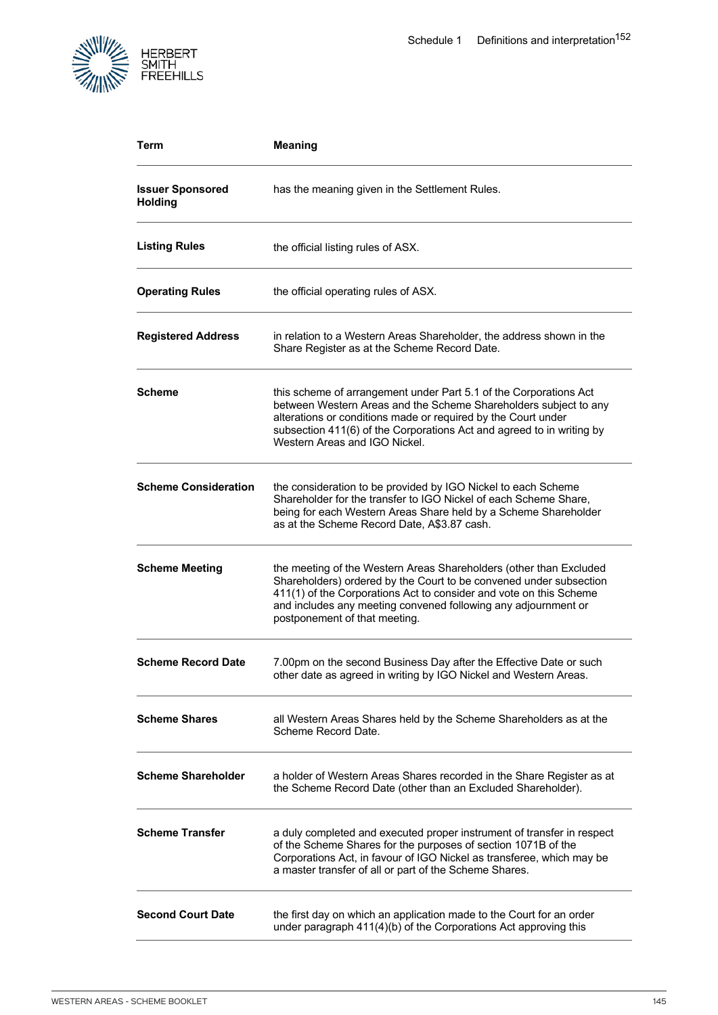

| Term                                      | <b>Meaning</b>                                                                                                                                                                                                                                                                                                    |
|-------------------------------------------|-------------------------------------------------------------------------------------------------------------------------------------------------------------------------------------------------------------------------------------------------------------------------------------------------------------------|
| <b>Issuer Sponsored</b><br><b>Holding</b> | has the meaning given in the Settlement Rules.                                                                                                                                                                                                                                                                    |
| <b>Listing Rules</b>                      | the official listing rules of ASX.                                                                                                                                                                                                                                                                                |
| <b>Operating Rules</b>                    | the official operating rules of ASX.                                                                                                                                                                                                                                                                              |
| <b>Registered Address</b>                 | in relation to a Western Areas Shareholder, the address shown in the<br>Share Register as at the Scheme Record Date.                                                                                                                                                                                              |
| <b>Scheme</b>                             | this scheme of arrangement under Part 5.1 of the Corporations Act<br>between Western Areas and the Scheme Shareholders subject to any<br>alterations or conditions made or required by the Court under<br>subsection 411(6) of the Corporations Act and agreed to in writing by<br>Western Areas and IGO Nickel.  |
| <b>Scheme Consideration</b>               | the consideration to be provided by IGO Nickel to each Scheme<br>Shareholder for the transfer to IGO Nickel of each Scheme Share,<br>being for each Western Areas Share held by a Scheme Shareholder<br>as at the Scheme Record Date, A\$3.87 cash.                                                               |
| <b>Scheme Meeting</b>                     | the meeting of the Western Areas Shareholders (other than Excluded<br>Shareholders) ordered by the Court to be convened under subsection<br>411(1) of the Corporations Act to consider and vote on this Scheme<br>and includes any meeting convened following any adjournment or<br>postponement of that meeting. |
| <b>Scheme Record Date</b>                 | 7.00pm on the second Business Day after the Effective Date or such<br>other date as agreed in writing by IGO Nickel and Western Areas.                                                                                                                                                                            |
| <b>Scheme Shares</b>                      | all Western Areas Shares held by the Scheme Shareholders as at the<br>Scheme Record Date.                                                                                                                                                                                                                         |
| <b>Scheme Shareholder</b>                 | a holder of Western Areas Shares recorded in the Share Register as at<br>the Scheme Record Date (other than an Excluded Shareholder).                                                                                                                                                                             |
| <b>Scheme Transfer</b>                    | a duly completed and executed proper instrument of transfer in respect<br>of the Scheme Shares for the purposes of section 1071B of the<br>Corporations Act, in favour of IGO Nickel as transferee, which may be<br>a master transfer of all or part of the Scheme Shares.                                        |
| <b>Second Court Date</b>                  | the first day on which an application made to the Court for an order<br>under paragraph 411(4)(b) of the Corporations Act approving this                                                                                                                                                                          |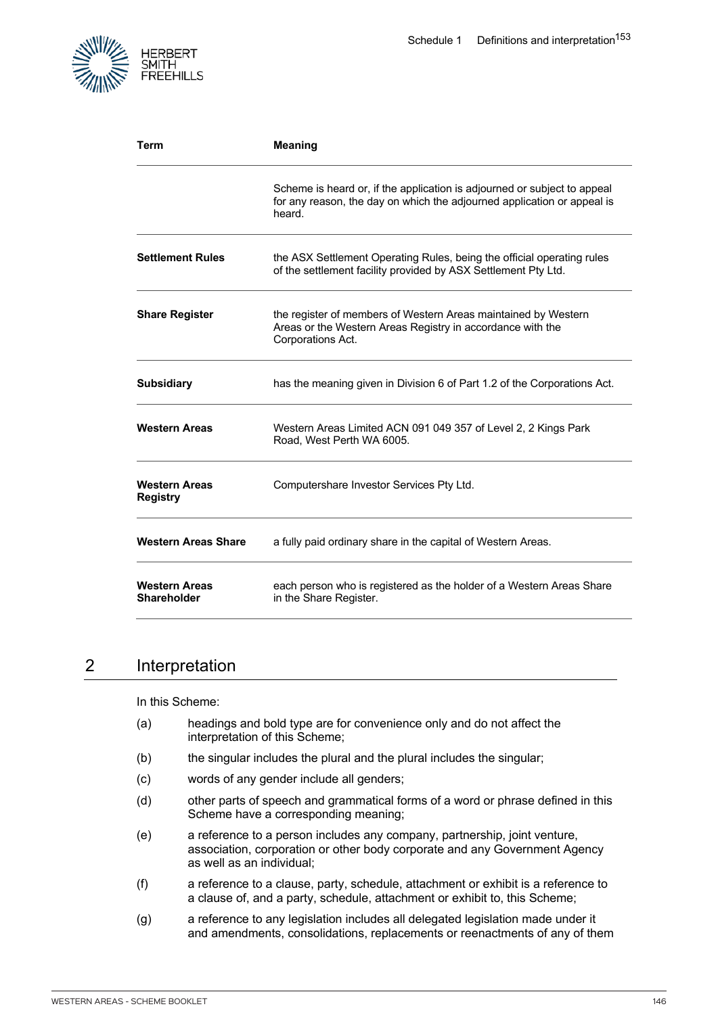

| Term                                       | <b>Meaning</b>                                                                                                                                                |
|--------------------------------------------|---------------------------------------------------------------------------------------------------------------------------------------------------------------|
|                                            | Scheme is heard or, if the application is adjourned or subject to appeal<br>for any reason, the day on which the adjourned application or appeal is<br>heard. |
| <b>Settlement Rules</b>                    | the ASX Settlement Operating Rules, being the official operating rules<br>of the settlement facility provided by ASX Settlement Pty Ltd.                      |
| <b>Share Register</b>                      | the register of members of Western Areas maintained by Western<br>Areas or the Western Areas Registry in accordance with the<br>Corporations Act.             |
| <b>Subsidiary</b>                          | has the meaning given in Division 6 of Part 1.2 of the Corporations Act.                                                                                      |
| <b>Western Areas</b>                       | Western Areas Limited ACN 091 049 357 of Level 2, 2 Kings Park<br>Road, West Perth WA 6005.                                                                   |
| <b>Western Areas</b><br><b>Registry</b>    | Computershare Investor Services Pty Ltd.                                                                                                                      |
| <b>Western Areas Share</b>                 | a fully paid ordinary share in the capital of Western Areas.                                                                                                  |
| <b>Western Areas</b><br><b>Shareholder</b> | each person who is registered as the holder of a Western Areas Share<br>in the Share Register.                                                                |

# 2 Interpretation

In this Scheme:

- (a) headings and bold type are for convenience only and do not affect the interpretation of this Scheme;
- (b) the singular includes the plural and the plural includes the singular;
- (c) words of any gender include all genders;
- (d) other parts of speech and grammatical forms of a word or phrase defined in this Scheme have a corresponding meaning;
- (e) a reference to a person includes any company, partnership, joint venture, association, corporation or other body corporate and any Government Agency as well as an individual;
- (f) a reference to a clause, party, schedule, attachment or exhibit is a reference to a clause of, and a party, schedule, attachment or exhibit to, this Scheme;
- (g) a reference to any legislation includes all delegated legislation made under it and amendments, consolidations, replacements or reenactments of any of them